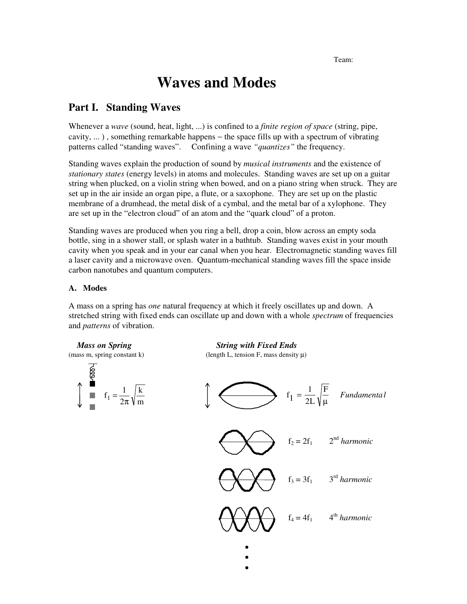Team: Team: Team: Team: Team: Team: Team: Team: Team: Team: Team: Team: Team: Team: Team: Team: Team: Team: Team: Team: Team: Team: Team: Team: Team: Team: Team: Team: Team: Team: Team: Team: Team: Team: Team: Team: Team:

# **Waves and Modes**

# **Part I. Standing Waves**

Whenever a *wave* (sound, heat, light, ...) is confined to a *finite region of space* (string, pipe, cavity, ... ) , something remarkable happens − the space fills up with a spectrum of vibrating patterns called "standing waves". Confining a wave *"quantizes"* the frequency.

Standing waves explain the production of sound by *musical instruments* and the existence of *stationary states* (energy levels) in atoms and molecules. Standing waves are set up on a guitar string when plucked, on a violin string when bowed, and on a piano string when struck. They are set up in the air inside an organ pipe, a flute, or a saxophone. They are set up on the plastic membrane of a drumhead, the metal disk of a cymbal, and the metal bar of a xylophone. They are set up in the "electron cloud" of an atom and the "quark cloud" of a proton.

Standing waves are produced when you ring a bell, drop a coin, blow across an empty soda bottle, sing in a shower stall, or splash water in a bathtub. Standing waves exist in your mouth cavity when you speak and in your ear canal when you hear. Electromagnetic standing waves fill a laser cavity and a microwave oven. Quantum-mechanical standing waves fill the space inside carbon nanotubes and quantum computers.

# **A. Modes**

A mass on a spring has *one* natural frequency at which it freely oscillates up and down. A stretched string with fixed ends can oscillate up and down with a whole *spectrum* of frequencies and *patterns* of vibration.



 • •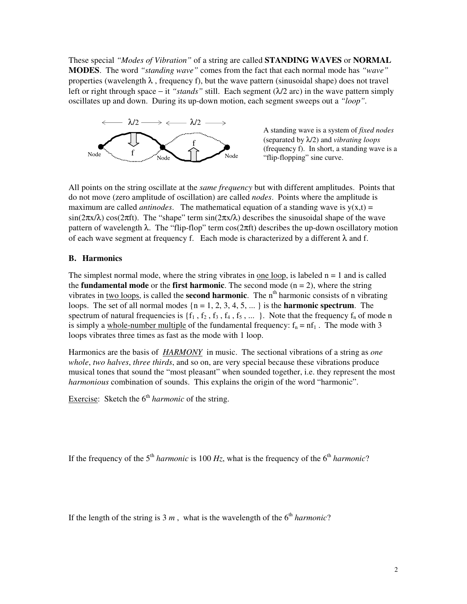These special *"Modes of Vibration"* of a string are called **STANDING WAVES** or **NORMAL MODES**. The word *"standing wave"* comes from the fact that each normal mode has *"wave"* properties (wavelength  $\lambda$ , frequency f), but the wave pattern (sinusoidal shape) does not travel left or right through space − it *"stands"* still. Each segment (λ/2 arc) in the wave pattern simply oscillates up and down. During its up-down motion, each segment sweeps out a *"loop".*



A standing wave is a system of *fixed nodes* (separated by λ/2) and *vibrating loops* (frequency f). In short, a standing wave is a

All points on the string oscillate at the *same frequency* but with different amplitudes. Points that do not move (zero amplitude of oscillation) are called *nodes*. Points where the amplitude is maximum are called *antinodes*. The mathematical equation of a standing wave is  $y(x,t) =$ sin( $2\pi x/\lambda$ ) cos( $2\pi f$ t). The "shape" term sin( $2\pi x/\lambda$ ) describes the sinusoidal shape of the wave pattern of wavelength  $\lambda$ . The "flip-flop" term  $cos(2\pi ft)$  describes the up-down oscillatory motion of each wave segment at frequency f. Each mode is characterized by a different  $\lambda$  and f.

# **B. Harmonics**

The simplest normal mode, where the string vibrates in one loop, is labeled  $n = 1$  and is called the **fundamental mode** or the **first harmonic**. The second mode  $(n = 2)$ , where the string vibrates in two loops, is called the **second harmonic**. The n<sup>th</sup> harmonic consists of n vibrating loops. The set of all normal modes  $\{n = 1, 2, 3, 4, 5, ...\}$  is the **harmonic spectrum**. The spectrum of natural frequencies is  $\{f_1, f_2, f_3, f_4, f_5, \dots\}$ . Note that the frequency  $f_n$  of mode n is simply a whole-number multiple of the fundamental frequency:  $f_n = nf_1$ . The mode with 3 loops vibrates three times as fast as the mode with 1 loop.

Harmonics are the basis of *HARMONY* in music. The sectional vibrations of a string as *one whole*, *two halves*, *three thirds*, and so on, are very special because these vibrations produce musical tones that sound the "most pleasant" when sounded together, i.e. they represent the most *harmonious* combination of sounds. This explains the origin of the word "harmonic".

Exercise: Sketch the  $6<sup>th</sup> harmonic$  of the string.

If the frequency of the  $5<sup>th</sup> harmonic$  is 100  $H<sub>Z</sub>$ , what is the frequency of the  $6<sup>th</sup> harmonic$ ?

If the length of the string is  $3 m$ , what is the wavelength of the  $6<sup>th</sup> harmonic$ ?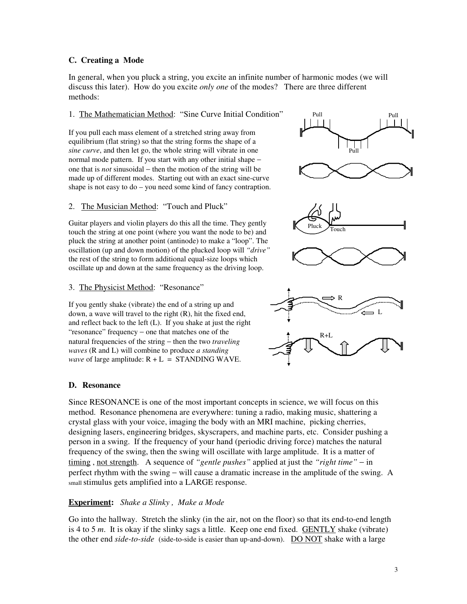#### **C. Creating a Mode**

In general, when you pluck a string, you excite an infinite number of harmonic modes (we will discuss this later). How do you excite *only one* of the modes? There are three different methods:

### 1. The Mathematician Method: "Sine Curve Initial Condition"

If you pull each mass element of a stretched string away from equilibrium (flat string) so that the string forms the shape of a *sine curve*, and then let go, the whole string will vibrate in one normal mode pattern. If you start with any other initial shape − one that is *not* sinusoidal − then the motion of the string will be made up of different modes. Starting out with an exact sine-curve shape is not easy to do – you need some kind of fancy contraption.

#### 2. The Musician Method: "Touch and Pluck"

Guitar players and violin players do this all the time. They gently touch the string at one point (where you want the node to be) and pluck the string at another point (antinode) to make a "loop". The oscillation (up and down motion) of the plucked loop will *"drive"* the rest of the string to form additional equal-size loops which oscillate up and down at the same frequency as the driving loop.

#### 3. The Physicist Method: "Resonance"

If you gently shake (vibrate) the end of a string up and down, a wave will travel to the right (R), hit the fixed end, and reflect back to the left (L). If you shake at just the right "resonance" frequency − one that matches one of the natural frequencies of the string − then the two *traveling waves* (R and L) will combine to produce *a standing wave* of large amplitude:  $R + L = STANDING$  WAVE.

#### **D. Resonance**

Since RESONANCE is one of the most important concepts in science, we will focus on this method. Resonance phenomena are everywhere: tuning a radio, making music, shattering a crystal glass with your voice, imaging the body with an MRI machine, picking cherries, designing lasers, engineering bridges, skyscrapers, and machine parts, etc. Consider pushing a person in a swing. If the frequency of your hand (periodic driving force) matches the natural frequency of the swing, then the swing will oscillate with large amplitude. It is a matter of timing , not strength. A sequence of *"gentle pushes"* applied at just the *"right time"* − in perfect rhythm with the swing − will cause a dramatic increase in the amplitude of the swing. A small stimulus gets amplified into a LARGE response.

### **Experiment:** *Shake a Slinky , Make a Mode*

Go into the hallway. Stretch the slinky (in the air, not on the floor) so that its end-to-end length is 4 to 5 *m*. It is okay if the slinky sags a little. Keep one end fixed. GENTLY shake (vibrate) the other end *side-to-side* (side-to-side is easier than up-and-down). DO NOT shake with a large

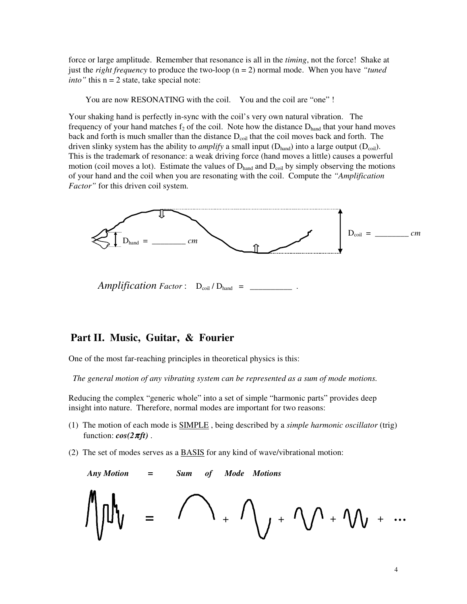force or large amplitude. Remember that resonance is all in the *timing*, not the force! Shake at just the *right frequency* to produce the two-loop  $(n = 2)$  normal mode. When you have *"tuned*" *into*" this  $n = 2$  state, take special note:

You are now RESONATING with the coil. You and the coil are "one" !

Your shaking hand is perfectly in-sync with the coil's very own natural vibration. The frequency of your hand matches  $f_2$  of the coil. Note how the distance  $D<sub>hand</sub>$  that your hand moves back and forth is much smaller than the distance  $D_{\text{coil}}$  that the coil moves back and forth. The driven slinky system has the ability to *amplify* a small input  $(D_{\text{hand}})$  into a large output  $(D_{\text{coil}})$ . This is the trademark of resonance: a weak driving force (hand moves a little) causes a powerful motion (coil moves a lot). Estimate the values of  $D<sub>hand</sub>$  and  $D<sub>coil</sub>$  by simply observing the motions of your hand and the coil when you are resonating with the coil. Compute the *"Amplification Factor"* for this driven coil system.



 $Amplification Factor: D_{coil}/D_{hand}$  =

# **Part II. Music, Guitar, & Fourier**

One of the most far-reaching principles in theoretical physics is this:

 *The general motion of any vibrating system can be represented as a sum of mode motions.*

Reducing the complex "generic whole" into a set of simple "harmonic parts" provides deep insight into nature. Therefore, normal modes are important for two reasons:

- (1) The motion of each mode is SIMPLE , being described by a *simple harmonic oscillator* (trig) function:  $cos(2\pi ft)$ .
- (2) The set of modes serves as a BASIS for any kind of wave/vibrational motion:

Any Motion = Sum of Mode Motions

\n
$$
\iiint_V = \bigcap_{+} \bigcap_{+} \bigcap_{+} + \bigcap_{+} \bigcap_{+} + \bigcap_{+} + \bigcap_{+} + \dots
$$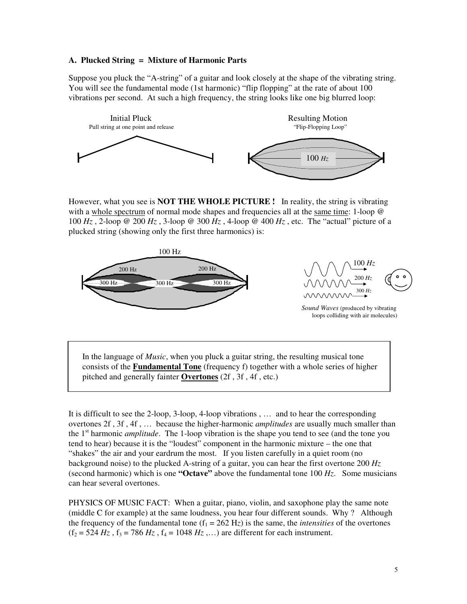#### **A. Plucked String = Mixture of Harmonic Parts**

Suppose you pluck the "A-string" of a guitar and look closely at the shape of the vibrating string. You will see the fundamental mode (1st harmonic) "flip flopping" at the rate of about 100 vibrations per second. At such a high frequency, the string looks like one big blurred loop:



However, what you see is **NOT THE WHOLE PICTURE !** In reality, the string is vibrating with a whole spectrum of normal mode shapes and frequencies all at the same time: 1-loop @ 100 *Hz* , 2-loop @ 200 *Hz* , 3-loop @ 300 *Hz* , 4-loop @ 400 *Hz* , etc. The "actual" picture of a plucked string (showing only the first three harmonics) is:



 In the language of *Music*, when you pluck a guitar string, the resulting musical tone consists of the **Fundamental Tone** (frequency f) together with a whole series of higher pitched and generally fainter **Overtones** (2f , 3f , 4f , etc.)

It is difficult to see the 2-loop, 3-loop, 4-loop vibrations , … and to hear the corresponding overtones 2f , 3f , 4f , … because the higher-harmonic *amplitudes* are usually much smaller than the 1<sup>st</sup> harmonic *amplitude*. The 1-loop vibration is the shape you tend to see (and the tone you tend to hear) because it is the "loudest" component in the harmonic mixture – the one that "shakes" the air and your eardrum the most. If you listen carefully in a quiet room (no background noise) to the plucked A-string of a guitar, you can hear the first overtone 200 *Hz* (second harmonic) which is one **"Octave"** above the fundamental tone 100 *Hz*. Some musicians can hear several overtones.

PHYSICS OF MUSIC FACT: When a guitar, piano, violin, and saxophone play the same note (middle C for example) at the same loudness, you hear four different sounds. Why ? Although the frequency of the fundamental tone  $(f_1 = 262 \text{ Hz})$  is the same, the *intensities* of the overtones  $(f_2 = 524 \text{ Hz}, f_3 = 786 \text{ Hz}, f_4 = 1048 \text{ Hz}, ...$  are different for each instrument.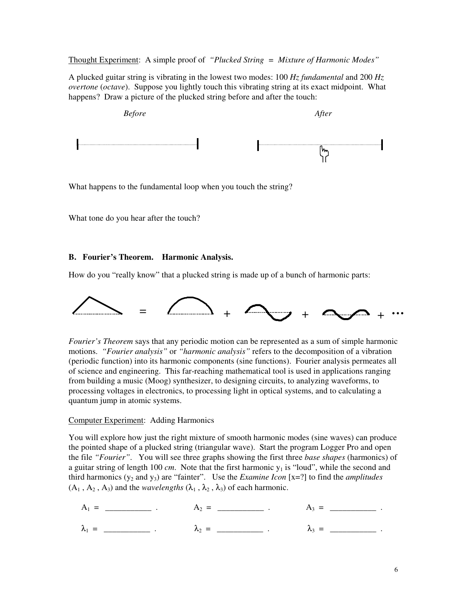Thought Experiment: A simple proof of *"Plucked String = Mixture of Harmonic Modes"*

A plucked guitar string is vibrating in the lowest two modes: 100 *Hz fundamental* and 200 *Hz overtone* (*octave*). Suppose you lightly touch this vibrating string at its exact midpoint. What happens? Draw a picture of the plucked string before and after the touch:



What happens to the fundamental loop when you touch the string?

What tone do you hear after the touch?

#### **B. Fourier's Theorem. Harmonic Analysis.**

How do you "really know" that a plucked string is made up of a bunch of harmonic parts:



*Fourier's Theorem* says that any periodic motion can be represented as a sum of simple harmonic motions. *"Fourier analysis"* or *"harmonic analysis"* refers to the decomposition of a vibration (periodic function) into its harmonic components (sine functions). Fourier analysis permeates all of science and engineering. This far-reaching mathematical tool is used in applications ranging from building a music (Moog) synthesizer, to designing circuits, to analyzing waveforms, to processing voltages in electronics, to processing light in optical systems, and to calculating a quantum jump in atomic systems.

#### Computer Experiment: Adding Harmonics

You will explore how just the right mixture of smooth harmonic modes (sine waves) can produce the pointed shape of a plucked string (triangular wave). Start the program Logger Pro and open the file *"Fourier"*. You will see three graphs showing the first three *base shapes* (harmonics) of a guitar string of length 100  $cm$ . Note that the first harmonic  $y_1$  is "loud", while the second and third harmonics  $(y_2$  and  $y_3)$  are "fainter". Use the *Examine Icon* [x=?] to find the *amplitudes*  $(A_1, A_2, A_3)$  and the *wavelengths*  $(\lambda_1, \lambda_2, \lambda_3)$  of each harmonic.

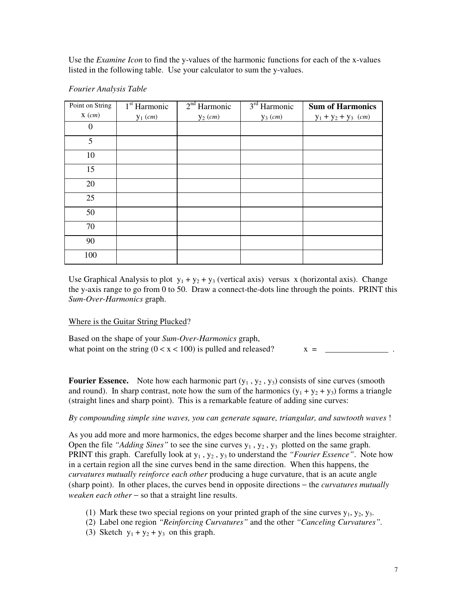Use the *Examine Icon* to find the y-values of the harmonic functions for each of the x-values listed in the following table. Use your calculator to sum the y-values.

| Point on String | 1 <sup>st</sup> Harmonic | 2 <sup>nd</sup> Harmonic | 3 <sup>rd</sup> Harmonic | <b>Sum of Harmonics</b> |
|-----------------|--------------------------|--------------------------|--------------------------|-------------------------|
| $X$ (cm)        | $y_1$ (cm)               | $y_2$ (cm)               | $y_3$ (cm)               | $y_1 + y_2 + y_3$ (cm)  |
| $\overline{0}$  |                          |                          |                          |                         |
| 5               |                          |                          |                          |                         |
| 10              |                          |                          |                          |                         |
| 15              |                          |                          |                          |                         |
| 20              |                          |                          |                          |                         |
| 25              |                          |                          |                          |                         |
| 50              |                          |                          |                          |                         |
| 70              |                          |                          |                          |                         |
| 90              |                          |                          |                          |                         |
| 100             |                          |                          |                          |                         |

#### *Fourier Analysis Table*

Use Graphical Analysis to plot  $y_1 + y_2 + y_3$  (vertical axis) versus x (horizontal axis). Change the y-axis range to go from 0 to 50. Draw a connect-the-dots line through the points. PRINT this *Sum-Over-Harmonics* graph.

#### Where is the Guitar String Plucked?

Based on the shape of your *Sum-Over-Harmonics* graph, what point on the string  $(0 < x < 100)$  is pulled and released?  $x =$ 

**Fourier Essence.** Note how each harmonic part  $(y_1, y_2, y_3)$  consists of sine curves (smooth and round). In sharp contrast, note how the sum of the harmonics  $(y_1 + y_2 + y_3)$  forms a triangle (straight lines and sharp point). This is a remarkable feature of adding sine curves:

#### *By compounding simple sine waves, you can generate square, triangular, and sawtooth waves* !

As you add more and more harmonics, the edges become sharper and the lines become straighter. Open the file *"Adding Sines"* to see the sine curves  $y_1, y_2, y_3$  plotted on the same graph. PRINT this graph. Carefully look at  $y_1$ ,  $y_2$ ,  $y_3$  to understand the *"Fourier Essence"*. Note how in a certain region all the sine curves bend in the same direction. When this happens, the *curvatures mutually reinforce each other* producing a huge curvature, that is an acute angle (sharp point). In other places, the curves bend in opposite directions − the *curvatures mutually weaken each other* − so that a straight line results.

- (1) Mark these two special regions on your printed graph of the sine curves  $y_1, y_2, y_3$ .
- (2) Label one region *"Reinforcing Curvatures"* and the other *"Canceling Curvatures".*
- (3) Sketch  $y_1 + y_2 + y_3$  on this graph.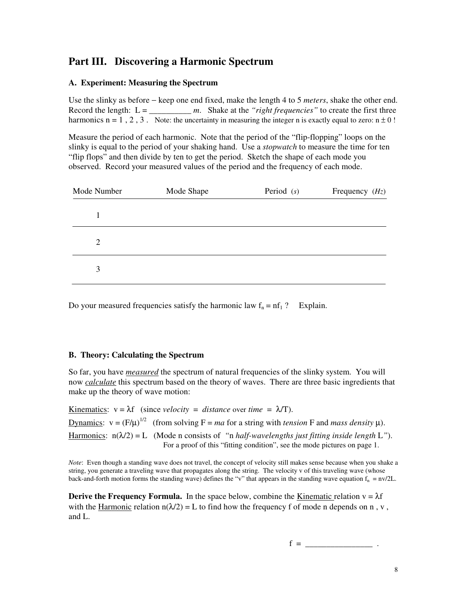# **Part III. Discovering a Harmonic Spectrum**

### **A. Experiment: Measuring the Spectrum**

Use the slinky as before − keep one end fixed, make the length 4 to 5 *meters*, shake the other end. Record the length:  $L =$  *m.* Shake at the *"right frequencies"* to create the first three harmonics  $n = 1, 2, 3$ . Note: the uncertainty in measuring the integer n is exactly equal to zero:  $n \pm 0$ !

Measure the period of each harmonic. Note that the period of the "flip-flopping" loops on the slinky is equal to the period of your shaking hand. Use a *stopwatch* to measure the time for ten "flip flops" and then divide by ten to get the period. Sketch the shape of each mode you observed. Record your measured values of the period and the frequency of each mode.

| Mode Number    | Mode Shape | Period $(s)$ | Frequency $(Hz)$ |
|----------------|------------|--------------|------------------|
|                |            |              |                  |
| $\overline{2}$ |            |              |                  |
| 3              |            |              |                  |

Do your measured frequencies satisfy the harmonic law  $f_n = nf_1$  ? Explain.

# **B. Theory: Calculating the Spectrum**

So far, you have *measured* the spectrum of natural frequencies of the slinky system. You will now *calculate* this spectrum based on the theory of waves. There are three basic ingredients that make up the theory of wave motion:

Kinematics:  $v = \lambda f$  (since *velocity = distance* over *time =*  $\lambda/T$ ). Dynamics:  $v = (F/\mu)^{1/2}$  (from solving  $F = ma$  for a string with *tension* F and *mass density*  $\mu$ ). Harmonics:  $n(\lambda/2) = L$  (Mode n consists of "n *half-wavelengths just fitting inside length* L"). For a proof of this "fitting condition", see the mode pictures on page 1.

*Note*: Even though a standing wave does not travel, the concept of velocity still makes sense because when you shake a string, you generate a traveling wave that propagates along the string. The velocity v of this traveling wave (whose back-and-forth motion forms the standing wave) defines the "v" that appears in the standing wave equation  $f_n = nv/2L$ .

**Derive the Frequency Formula.** In the space below, combine the Kinematic relation  $v = \lambda f$ with the Harmonic relation  $n(\lambda/2) = L$  to find how the frequency f of mode n depends on n, v, and L.

f = \_\_\_\_\_\_\_\_\_\_\_\_\_\_\_\_ .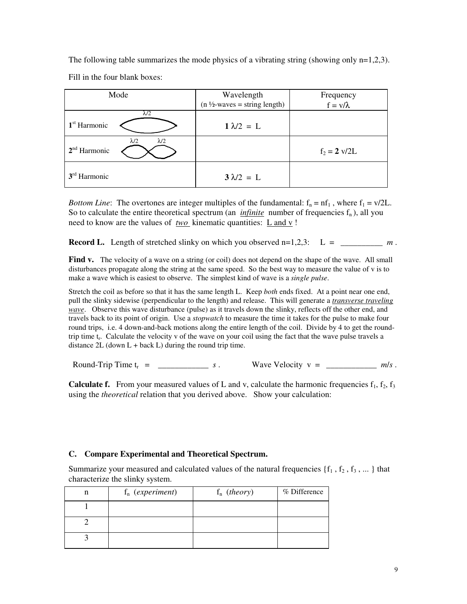The following table summarizes the mode physics of a vibrating string (showing only  $n=1,2,3$ ). Fill in the four blank boxes:

| Mode                                                   | Wavelength                               | Frequency              |
|--------------------------------------------------------|------------------------------------------|------------------------|
|                                                        | $(n \frac{1}{2}$ -waves = string length) | $f = v/\lambda$        |
| $\lambda/2$<br>1 <sup>st</sup> Harmonic                | $1 \lambda/2 = L$                        |                        |
| $\lambda/2$<br>$\lambda/2$<br>2 <sup>nd</sup> Harmonic |                                          | $f_2 = 2 \text{ v}/2L$ |
| $3rd$ Harmonic                                         | $3\lambda/2 = L$                         |                        |

*Bottom Line*: The overtones are integer multiples of the fundamental:  $f_n = nf_1$ , where  $f_1 = v/2L$ . So to calculate the entire theoretical spectrum (an *infinite* number of frequencies  $f_n$ ), all you need to know are the values of <u>two</u> kinematic quantities: <u>L and v</u>!

**Record L.** Length of stretched slinky on which you observed  $n=1,2,3$ :  $L = \underline{\hspace{2cm}} m$ .

**Find v.** The velocity of a wave on a string (or coil) does not depend on the shape of the wave. All small disturbances propagate along the string at the same speed. So the best way to measure the value of v is to make a wave which is easiest to observe. The simplest kind of wave is a *single pulse*.

Stretch the coil as before so that it has the same length L. Keep *both* ends fixed. At a point near one end, pull the slinky sidewise (perpendicular to the length) and release. This will generate a *transverse traveling wave*. Observe this wave disturbance (pulse) as it travels down the slinky, reflects off the other end, and travels back to its point of origin. Use a *stopwatch* to measure the time it takes for the pulse to make four round trips, i.e. 4 down-and-back motions along the entire length of the coil. Divide by 4 to get the roundtrip time  $t_r$ . Calculate the velocity v of the wave on your coil using the fact that the wave pulse travels a distance  $2L$  (down  $L +$  back  $L$ ) during the round trip time.

Round-Trip Time  $t_r =$  \_\_\_\_\_\_\_\_\_\_\_\_\_\_\_\_\_\_\_ *s*. Wave Velocity  $v =$  \_\_\_\_\_\_\_\_\_\_\_\_\_\_\_\_\_ *m/s*.

**Calculate f.** From your measured values of L and v, calculate the harmonic frequencies  $f_1$ ,  $f_2$ ,  $f_3$ using the *theoretical* relation that you derived above. Show your calculation:

### **C. Compare Experimental and Theoretical Spectrum.**

Summarize your measured and calculated values of the natural frequencies  $\{f_1, f_2, f_3, ...\}$  that characterize the slinky system.

| n | $f_n$ (experiment) | $f_n$ (theory) | % Difference |
|---|--------------------|----------------|--------------|
|   |                    |                |              |
|   |                    |                |              |
|   |                    |                |              |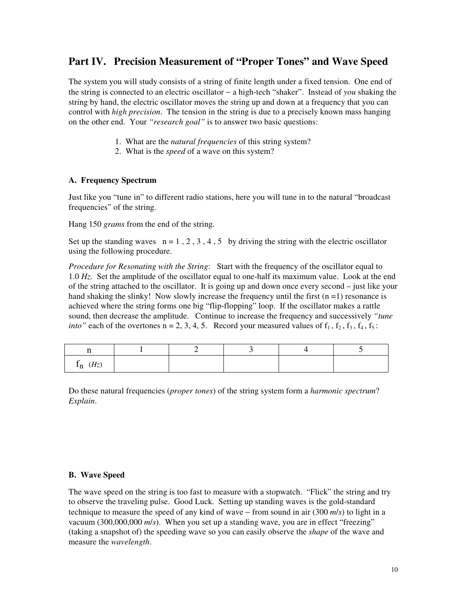# **Part IV. Precision Measurement of "Proper Tones" and Wave Speed**

The system you will study consists of a string of finite length under a fixed tension. One end of the string is connected to an electric oscillator − a high-tech "shaker". Instead of *you* shaking the string by hand, the electric oscillator moves the string up and down at a frequency that you can control with *high precision*. The tension in the string is due to a precisely known mass hanging on the other end. Your *"research goal"* is to answer two basic questions:

- 1. What are the *natural frequencies* of this string system?
- 2. What is the *speed* of a wave on this system?

### **A. Frequency Spectrum**

Just like you "tune in" to different radio stations, here you will tune in to the natural "broadcast frequencies" of the string.

Hang 150 *grams* from the end of the string.

Set up the standing waves  $n = 1, 2, 3, 4, 5$  by driving the string with the electric oscillator using the following procedure.

*Procedure for Resonating with the String*: Start with the frequency of the oscillator equal to 1.0 *Hz*. Set the amplitude of the oscillator equal to one-half its maximum value. Look at the end of the string attached to the oscillator. It is going up and down once every second – just like your hand shaking the slinky! Now slowly increase the frequency until the first  $(n = 1)$  resonance is achieved where the string forms one big "flip-flopping" loop. If the oscillator makes a rattle sound, then decrease the amplitude. Continue to increase the frequency and successively *"tune into*" each of the overtones  $n = 2, 3, 4, 5$ . Record your measured values of  $f_1$ ,  $f_2$ ,  $f_3$ ,  $f_4$ ,  $f_5$ :

| (Hz)<br>$\sim$<br>- 11<br>ᅭ |  |  |  |
|-----------------------------|--|--|--|

Do these natural frequencies (*proper tones*) of the string system form a *harmonic spectrum*? *Explain*.

#### **B. Wave Speed**

The wave speed on the string is too fast to measure with a stopwatch. "Flick" the string and try to observe the traveling pulse. Good Luck. Setting up standing waves is the gold-standard technique to measure the speed of any kind of wave − from sound in air (300 *m*/*s*) to light in a vacuum (300,000,000 *m*/*s*). When you set up a standing wave, you are in effect "freezing" (taking a snapshot of) the speeding wave so you can easily observe the *shape* of the wave and measure the *wavelength*.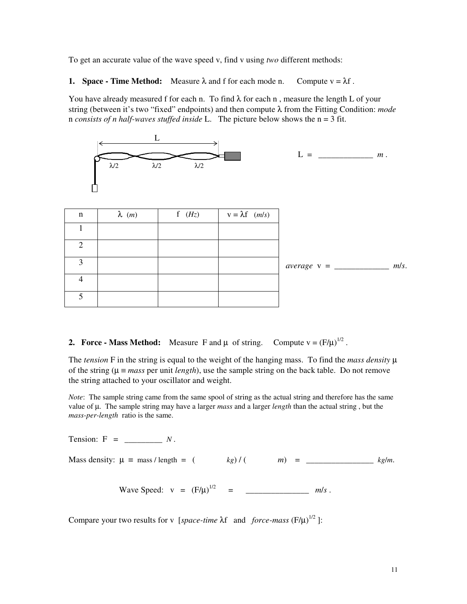To get an accurate value of the wave speed v, find v using *two* different methods:

**1. Space - Time Method:** Measure  $\lambda$  and f for each mode n. Compute  $v = \lambda f$ .

You have already measured f for each n. To find  $\lambda$  for each n, measure the length L of your string (between it's two "fixed" endpoints) and then compute λ from the Fitting Condition: *mode*  n *consists of n half-waves stuffed inside* L. The picture below shows the n = 3 fit.



| n | $\lambda$ ( <i>m</i> ) | f $(Hz)$ | $v = \lambda f$ ( <i>m/s</i> ) |                                             |
|---|------------------------|----------|--------------------------------|---------------------------------------------|
|   |                        |          |                                |                                             |
|   |                        |          |                                |                                             |
| 3 |                        |          |                                | m/s.<br>$average \text{ } v = \_\_\_\_\_\_$ |
|   |                        |          |                                |                                             |
|   |                        |          |                                |                                             |

**2. Force - Mass Method:** Measure F and  $\mu$  of string. Compute  $v = (F/\mu)^{1/2}$ .

The *tension* F in the string is equal to the weight of the hanging mass. To find the *mass density*  $\mu$ of the string ( $\mu \equiv mass$  per unit *length*), use the sample string on the back table. Do not remove the string attached to your oscillator and weight.

*Note*: The sample string came from the same spool of string as the actual string and therefore has the same value of µ. The sample string may have a larger *mass* and a larger *length* than the actual string , but the *mass-per-length* ratio is the same.

Tension: F = \_\_\_\_\_\_\_\_\_ *N* . Mass density:  $\mu = \text{mass / length} =$  (  $kg$ ) / (  $m$ ) = \_\_\_\_\_\_\_\_\_\_\_ *kg/m.* Wave Speed:  $v = (F/\mu)^{1/2} =$  \_\_\_\_\_\_\_\_\_\_\_\_\_\_\_\_\_\_\_\_\_\_\_*m/s*.

Compare your two results for v [*space-time*  $\lambda f$  and *force-mass* ( $F/\mu$ )<sup>1/2</sup>]: